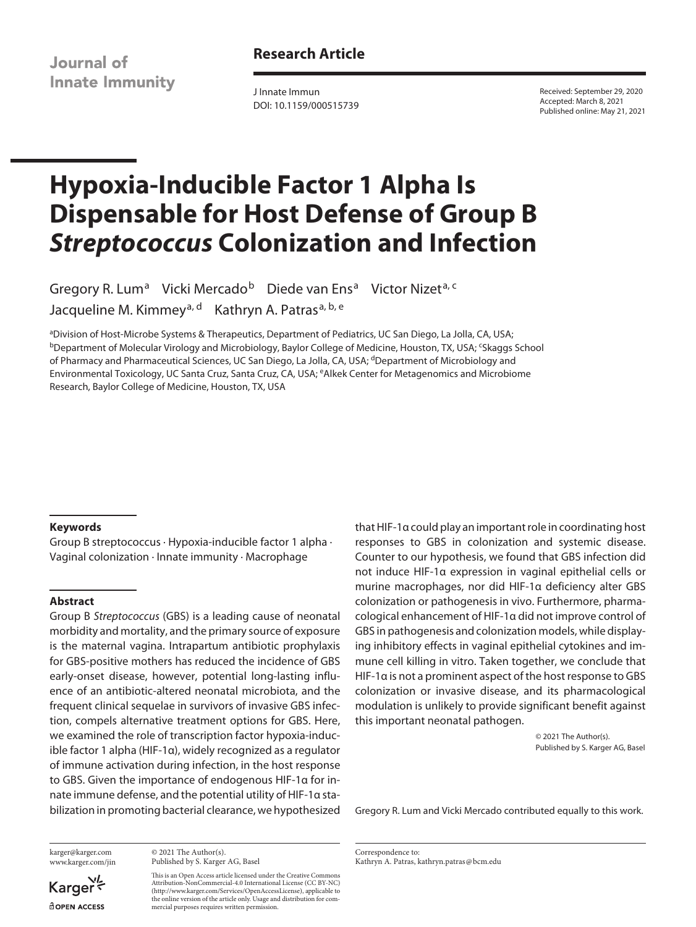Journal of **Innate Immunity**  **Research Article**

J Innate Immun DOI: 10.1159/000515739

Received: September 29, 2020 Accepted: March 8, 2021 Published online: May 21, 2021

# **Hypoxia-Inducible Factor 1 Alpha Is Dispensable for Host Defense of Group B**  *Streptococcus* **Colonization and Infection**

Gregory R. Lum<sup>a</sup> Vicki Mercado<sup>b</sup> Diede van Ens<sup>a</sup> Victor Nizet<sup>a, c</sup> Jacqueline M. Kimmey<sup>a, d</sup> Kathryn A. Patras<sup>a, b, e</sup>

a Division of Host-Microbe Systems & Therapeutics, Department of Pediatrics, UC San Diego, La Jolla, CA, USA; <sup>b</sup>Department of Molecular Virology and Microbiology, Baylor College of Medicine, Houston, TX, USA; <sup>c</sup>Skaggs School of Pharmacy and Pharmaceutical Sciences, UC San Diego, La Jolla, CA, USA; <sup>d</sup>Department of Microbiology and Environmental Toxicology, UC Santa Cruz, Santa Cruz, CA, USA; eAlkek Center for Metagenomics and Microbiome Research, Baylor College of Medicine, Houston, TX, USA

## **Keywords**

Group B streptococcus · Hypoxia-inducible factor 1 alpha · Vaginal colonization · Innate immunity · Macrophage

## **Abstract**

Group B *Streptococcus* (GBS) is a leading cause of neonatal morbidity and mortality, and the primary source of exposure is the maternal vagina. Intrapartum antibiotic prophylaxis for GBS-positive mothers has reduced the incidence of GBS early-onset disease, however, potential long-lasting influence of an antibiotic-altered neonatal microbiota, and the frequent clinical sequelae in survivors of invasive GBS infection, compels alternative treatment options for GBS. Here, we examined the role of transcription factor hypoxia-inducible factor 1 alpha (HIF-1α), widely recognized as a regulator of immune activation during infection, in the host response to GBS. Given the importance of endogenous HIF-1α for innate immune defense, and the potential utility of HIF-1α stabilization in promoting bacterial clearance, we hypothesized that HIF-1α could play an important role in coordinating host responses to GBS in colonization and systemic disease. Counter to our hypothesis, we found that GBS infection did not induce HIF-1α expression in vaginal epithelial cells or murine macrophages, nor did HIF-1α deficiency alter GBS colonization or pathogenesis in vivo. Furthermore, pharmacological enhancement of HIF-1α did not improve control of GBS in pathogenesis and colonization models, while displaying inhibitory effects in vaginal epithelial cytokines and immune cell killing in vitro. Taken together, we conclude that HIF-1α is not a prominent aspect of the host response to GBS colonization or invasive disease, and its pharmacological modulation is unlikely to provide significant benefit against this important neonatal pathogen.

> © 2021 The Author(s). Published by S. Karger AG, Basel

Gregory R. Lum and Vicki Mercado contributed equally to this work.

karger@karger.com www.karger.com/jin

© 2021 The Author(s). Published by S. Karger AG, Basel

This is an Open Access article licensed under the Creative Commons Attribution-NonCommercial-4.0 International License (CC BY-NC) (http://www.karger.com/Services/OpenAccessLicense), applicable to the online version of the article only. Usage and distribution for commercial purposes requires written permission.

Correspondence to: Kathryn A. Patras, kathryn.patras@bcm.edu

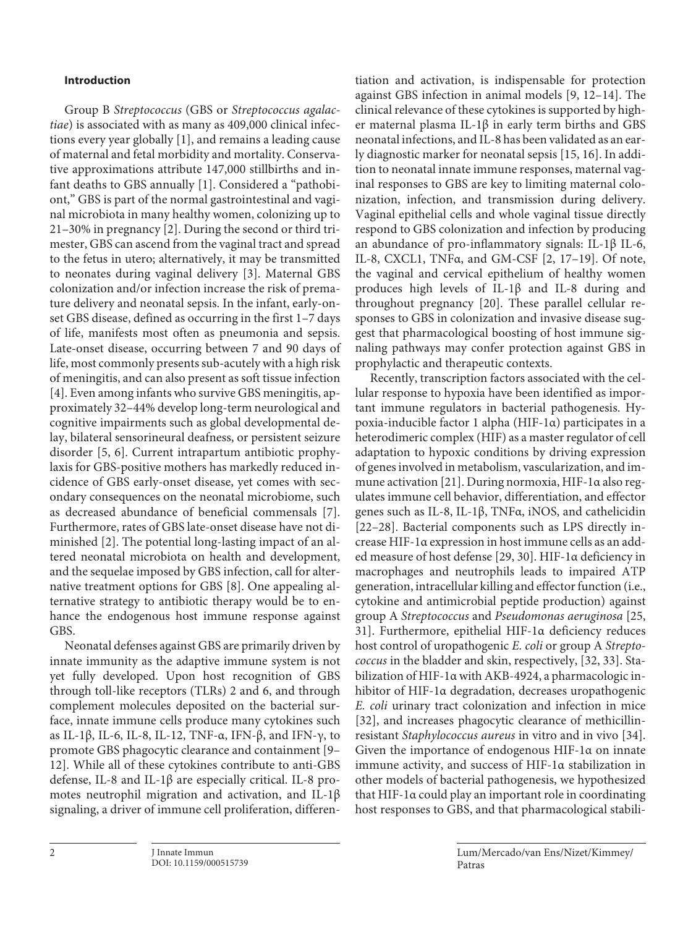# **Introduction**

<span id="page-1-2"></span><span id="page-1-1"></span><span id="page-1-0"></span>Group B *Streptococcus* (GBS or *Streptococcus agalactiae*) is associated with as many as 409,000 clinical infections every year globally [[1\]](#page-11-0), and remains a leading cause of maternal and fetal morbidity and mortality. Conservative approximations attribute 147,000 stillbirths and infant deaths to GBS annually [\[1](#page-11-0)]. Considered a "pathobiont," GBS is part of the normal gastrointestinal and vaginal microbiota in many healthy women, colonizing up to 21–30% in pregnancy [\[2\]](#page-11-1). During the second or third trimester, GBS can ascend from the vaginal tract and spread to the fetus in utero; alternatively, it may be transmitted to neonates during vaginal delivery [[3\]](#page-11-2). Maternal GBS colonization and/or infection increase the risk of premature delivery and neonatal sepsis. In the infant, early-onset GBS disease, defined as occurring in the first 1–7 days of life, manifests most often as pneumonia and sepsis. Late-onset disease, occurring between 7 and 90 days of life, most commonly presents sub-acutely with a high risk of meningitis, and can also present as soft tissue infection [\[4\]](#page-11-3). Even among infants who survive GBS meningitis, approximately 32–44% develop long-term neurological and cognitive impairments such as global developmental delay, bilateral sensorineural deafness, or persistent seizure disorder [[5](#page-11-4), [6](#page-11-5)]. Current intrapartum antibiotic prophylaxis for GBS-positive mothers has markedly reduced incidence of GBS early-onset disease, yet comes with secondary consequences on the neonatal microbiome, such as decreased abundance of beneficial commensals [[7\]](#page-11-6). Furthermore, rates of GBS late-onset disease have not diminished [\[2\]](#page-11-1). The potential long-lasting impact of an altered neonatal microbiota on health and development, and the sequelae imposed by GBS infection, call for alternative treatment options for GBS [\[8\]](#page-11-7). One appealing alternative strategy to antibiotic therapy would be to enhance the endogenous host immune response against GBS.

<span id="page-1-7"></span><span id="page-1-6"></span><span id="page-1-5"></span><span id="page-1-4"></span><span id="page-1-3"></span>Neonatal defenses against GBS are primarily driven by innate immunity as the adaptive immune system is not yet fully developed. Upon host recognition of GBS through toll-like receptors (TLRs) 2 and 6, and through complement molecules deposited on the bacterial surface, innate immune cells produce many cytokines such as IL-1β, IL-6, IL-8, IL-12, TNF-α, IFN-β, and IFN-γ, to promote GBS phagocytic clearance and containment [\[9–](#page-11-8) [1](#page-11-0)[2](#page-11-1)]. While all of these cytokines contribute to anti-GBS defense, IL-8 and IL-1β are especially critical. IL-8 promotes neutrophil migration and activation, and IL-1β signaling, a driver of immune cell proliferation, differen<span id="page-1-9"></span><span id="page-1-8"></span>tiation and activation, is indispensable for protection against GBS infection in animal models [\[9](#page-11-8), [1](#page-11-0)[2](#page-11-1)[–1](#page-11-0)[4\]](#page-11-3). The clinical relevance of these cytokines is supported by higher maternal plasma IL-1β in early term births and GBS neonatal infections, and IL-8 has been validated as an early diagnostic marker for neonatal sepsis [\[1](#page-11-0)[5,](#page-11-4) [1](#page-11-0)[6\]](#page-11-5). In addition to neonatal innate immune responses, maternal vaginal responses to GBS are key to limiting maternal colonization, infection, and transmission during delivery. Vaginal epithelial cells and whole vaginal tissue directly respond to GBS colonization and infection by producing an abundance of pro-inflammatory signals: IL-1β IL-6, IL-8, CXCL1, TNFα, and GM-CSF [[2](#page-11-1), [1](#page-11-0)[7–](#page-11-6)[1](#page-11-0)[9\]](#page-11-8). Of note, the vaginal and cervical epithelium of healthy women produces high levels of IL-1β and IL-8 during and throughout pregnancy [[2](#page-11-1)0]. These parallel cellular responses to GBS in colonization and invasive disease suggest that pharmacological boosting of host immune signaling pathways may confer protection against GBS in prophylactic and therapeutic contexts.

<span id="page-1-17"></span><span id="page-1-16"></span><span id="page-1-15"></span><span id="page-1-14"></span><span id="page-1-13"></span><span id="page-1-12"></span><span id="page-1-11"></span><span id="page-1-10"></span>Recently, transcription factors associated with the cellular response to hypoxia have been identified as important immune regulators in bacterial pathogenesis. Hypoxia-inducible factor 1 alpha (HIF-1α) participates in a heterodimeric complex (HIF) as a master regulator of cell adaptation to hypoxic conditions by driving expression of genes involved in metabolism, vascularization, and immune activation [[2](#page-11-1)[1](#page-11-0)]. During normoxia, HIF-1α also regulates immune cell behavior, differentiation, and effector genes such as IL-8, IL-1β, TNFα, iNOS, and cathelicidin [[22–2](#page-11-1)[8\]](#page-11-7). Bacterial components such as LPS directly increase HIF-1α expression in host immune cells as an added measure of host defense [\[2](#page-11-1)[9,](#page-11-8) [30](#page-11-2)]. HIF-1α deficiency in macrophages and neutrophils leads to impaired ATP generation, intracellular killing and effector function (i.e., cytokine and antimicrobial peptide production) against group A *Streptococcus* and *Pseudomonas aeruginosa* [[2](#page-11-1)[5](#page-11-4), [3](#page-11-2)[1\]](#page-11-0). Furthermore, epithelial HIF-1α deficiency reduces host control of uropathogenic *E. coli* or group A *Streptococcus* in the bladder and skin, respectively, [[3](#page-11-2)[2](#page-11-1), [33\]](#page-11-2). Stabilization of HIF-1α with AKB-4924, a pharmacologic inhibitor of HIF-1α degradation, decreases uropathogenic *E. coli* urinary tract colonization and infection in mice [[3](#page-11-2)[2](#page-11-1)], and increases phagocytic clearance of methicillinresistant *Staphylococcus aureus* in vitro and in vivo [[3](#page-11-2)[4](#page-11-3)]. Given the importance of endogenous HIF-1α on innate immune activity, and success of HIF-1α stabilization in other models of bacterial pathogenesis, we hypothesized that HIF-1α could play an important role in coordinating host responses to GBS, and that pharmacological stabili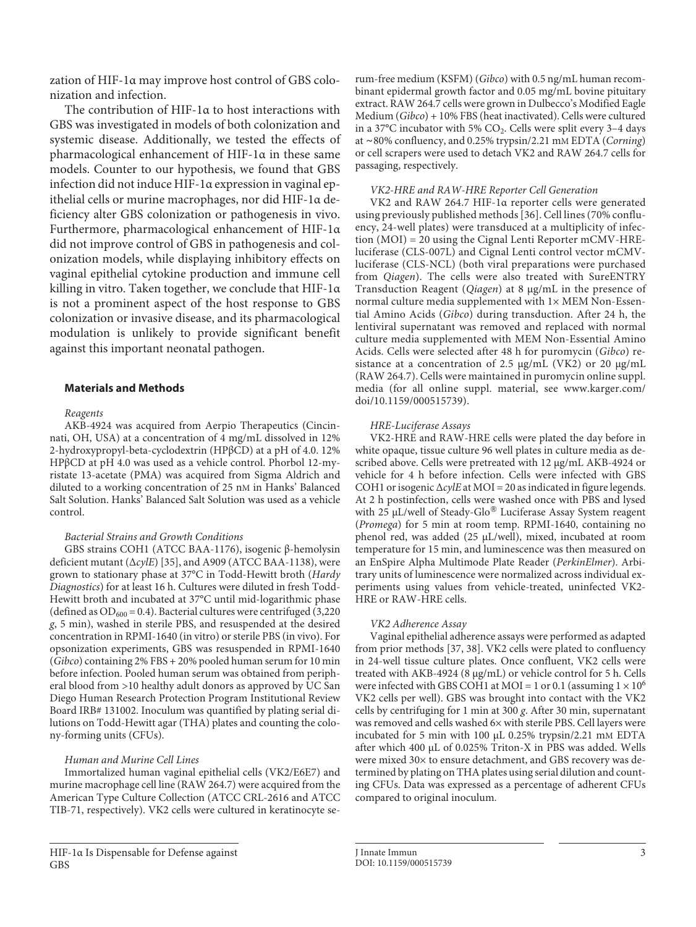zation of HIF-1α may improve host control of GBS colonization and infection.

The contribution of HIF-1α to host interactions with GBS was investigated in models of both colonization and systemic disease. Additionally, we tested the effects of pharmacological enhancement of HIF-1α in these same models. Counter to our hypothesis, we found that GBS infection did not induce HIF-1α expression in vaginal epithelial cells or murine macrophages, nor did HIF-1α deficiency alter GBS colonization or pathogenesis in vivo. Furthermore, pharmacological enhancement of HIF-1α did not improve control of GBS in pathogenesis and colonization models, while displaying inhibitory effects on vaginal epithelial cytokine production and immune cell killing in vitro. Taken together, we conclude that HIF-1α is not a prominent aspect of the host response to GBS colonization or invasive disease, and its pharmacological modulation is unlikely to provide significant benefit against this important neonatal pathogen.

# **Materials and Methods**

# *Reagents*

AKB-4924 was acquired from Aerpio Therapeutics (Cincinnati, OH, USA) at a concentration of 4 mg/mL dissolved in 12% 2-hydroxypropyl-beta-cyclodextrin (HPβCD) at a pH of 4.0. 12% HPβCD at pH 4.0 was used as a vehicle control. Phorbol 12-myristate 13-acetate (PMA) was acquired from Sigma Aldrich and diluted to a working concentration of 25 nM in Hanks' Balanced Salt Solution. Hanks' Balanced Salt Solution was used as a vehicle control.

# *Bacterial Strains and Growth Conditions*

GBS strains COH1 (ATCC BAA-1176), isogenic β-hemolysin deficient mutant (Δ*cylE*) [[3](#page-11-2)[5\]](#page-11-4), and A909 (ATCC BAA-1138), were grown to stationary phase at 37°C in Todd-Hewitt broth (*Hardy Diagnostics*) for at least 16 h. Cultures were diluted in fresh Todd-Hewitt broth and incubated at 37°C until mid-logarithmic phase (defined as  $OD_{600} = 0.4$ ). Bacterial cultures were centrifuged (3,220) *g*, 5 min), washed in sterile PBS, and resuspended at the desired concentration in RPMI-1640 (in vitro) or sterile PBS (in vivo). For opsonization experiments, GBS was resuspended in RPMI-1640 (*Gibco*) containing 2% FBS + 20% pooled human serum for 10 min before infection. Pooled human serum was obtained from peripheral blood from >10 healthy adult donors as approved by UC San Diego Human Research Protection Program Institutional Review Board IRB# 131002. Inoculum was quantified by plating serial dilutions on Todd-Hewitt agar (THA) plates and counting the colony-forming units (CFUs).

# *Human and Murine Cell Lines*

Immortalized human vaginal epithelial cells (VK2/E6E7) and murine macrophage cell line (RAW 264.7) were acquired from the American Type Culture Collection (ATCC CRL-2616 and ATCC TIB-71, respectively). VK2 cells were cultured in keratinocyte serum-free medium (KSFM) (*Gibco*) with 0.5 ng/mL human recombinant epidermal growth factor and 0.05 mg/mL bovine pituitary extract. RAW 264.7 cells were grown in Dulbecco's Modified Eagle Medium (*Gibco*) + 10% FBS (heat inactivated). Cells were cultured in a 37 $\rm{^{\circ}C}$  incubator with 5% CO<sub>2</sub>. Cells were split every 3-4 days at ∼80% confluency, and 0.25% trypsin/2.21 mM EDTA (*Corning*) or cell scrapers were used to detach VK2 and RAW 264.7 cells for passaging, respectively.

## *VK2-HRE and RAW-HRE Reporter Cell Generation*

<span id="page-2-1"></span>VK2 and RAW 264.7 HIF-1α reporter cells were generated using previously published methods [[3](#page-11-2)[6](#page-11-5)]. Cell lines (70% confluency, 24-well plates) were transduced at a multiplicity of infection (MOI) = 20 using the Cignal Lenti Reporter mCMV-HREluciferase (CLS-007L) and Cignal Lenti control vector mCMVluciferase (CLS-NCL) (both viral preparations were purchased from *Qiagen*). The cells were also treated with SureENTRY Transduction Reagent (*Qiagen*) at 8 μg/mL in the presence of normal culture media supplemented with 1× MEM Non-Essential Amino Acids (*Gibco*) during transduction. After 24 h, the lentiviral supernatant was removed and replaced with normal culture media supplemented with MEM Non-Essential Amino Acids. Cells were selected after 48 h for puromycin (*Gibco*) resistance at a concentration of 2.5 μg/mL (VK2) or 20 μg/mL (RAW 264.7). Cells were maintained in puromycin online suppl. media (for all online suppl. material, see www.karger.com/ doi/10.1159/000515739).

# *HRE-Luciferase Assays*

VK2-HRE and RAW-HRE cells were plated the day before in white opaque, tissue culture 96 well plates in culture media as described above. Cells were pretreated with 12 μg/mL AKB-4924 or vehicle for 4 h before infection. Cells were infected with GBS COH1 or isogenic Δ*cylE* at MOI = 20 as indicated in figure legends. At 2 h postinfection, cells were washed once with PBS and lysed with 25 μL/well of Steady-Glo<sup>®</sup> Luciferase Assay System reagent (*Promega*) for 5 min at room temp. RPMI-1640, containing no phenol red, was added (25 μL/well), mixed, incubated at room temperature for 15 min, and luminescence was then measured on an EnSpire Alpha Multimode Plate Reader (*PerkinElmer*). Arbitrary units of luminescence were normalized across individual experiments using values from vehicle-treated, uninfected VK2- HRE or RAW-HRE cells.

# *VK2 Adherence Assay*

<span id="page-2-2"></span><span id="page-2-0"></span>Vaginal epithelial adherence assays were performed as adapted from prior methods [[3](#page-11-2)[7,](#page-11-6) [3](#page-11-2)[8](#page-11-7)]. VK2 cells were plated to confluency in 24-well tissue culture plates. Once confluent, VK2 cells were treated with AKB-4924 (8 μg/mL) or vehicle control for 5 h. Cells were infected with GBS COH1 at MOI = 1 or 0.1 (assuming  $1 \times 10^6$ VK2 cells per well). GBS was brought into contact with the VK2 cells by centrifuging for 1 min at 300 *g*. After 30 min, supernatant was removed and cells washed 6× with sterile PBS. Cell layers were incubated for 5 min with 100 μL 0.25% trypsin/2.21 mM EDTA after which 400 μL of 0.025% Triton-X in PBS was added. Wells were mixed 30× to ensure detachment, and GBS recovery was determined by plating on THA plates using serial dilution and counting CFUs. Data was expressed as a percentage of adherent CFUs compared to original inoculum.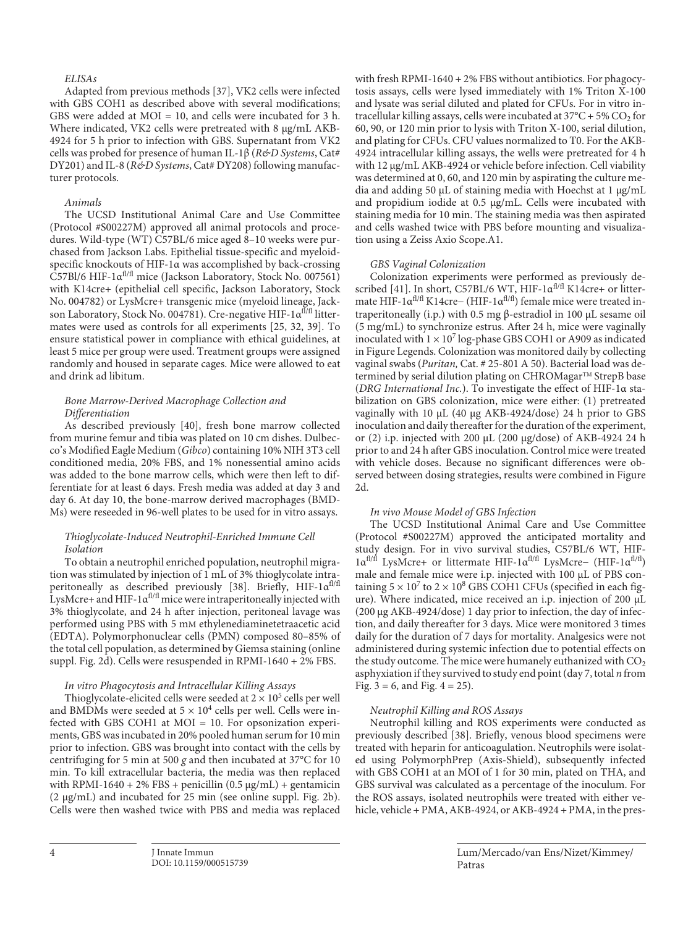# *ELISAs*

Adapted from previous methods [\[3](#page-11-2)[7](#page-11-6)], VK2 cells were infected with GBS COH1 as described above with several modifications; GBS were added at MOI = 10, and cells were incubated for 3 h. Where indicated, VK2 cells were pretreated with 8 μg/mL AKB-4924 for 5 h prior to infection with GBS. Supernatant from VK2 cells was probed for presence of human IL-1β (*R&D Systems*, Cat# DY201) and IL-8 (*R&D Systems*, Cat# DY208) following manufacturer protocols.

#### *Animals*

The UCSD Institutional Animal Care and Use Committee (Protocol #S00227M) approved all animal protocols and procedures. Wild-type (WT) C57BL/6 mice aged 8–10 weeks were purchased from Jackson Labs. Epithelial tissue-specific and myeloidspecific knockouts of HIF-1α was accomplished by back-crossing C57Bl/6 HIF-1 $\alpha^{\text{fl/fl}}$  mice (Jackson Laboratory, Stock No. 007561) with K14cre+ (epithelial cell specific, Jackson Laboratory, Stock No. 004782) or LysMcre+ transgenic mice (myeloid lineage, Jackson Laboratory, Stock No. 004781). Cre-negative HIF-1α<sup>fl/fl</sup> littermates were used as controls for all experiments [\[2](#page-11-1)[5](#page-11-4), [3](#page-11-2)[2,](#page-11-1) [3](#page-11-2)[9](#page-11-8)]. To ensure statistical power in compliance with ethical guidelines, at least 5 mice per group were used. Treatment groups were assigned randomly and housed in separate cages. Mice were allowed to eat and drink ad libitum.

## <span id="page-3-1"></span><span id="page-3-0"></span>*Bone Marrow-Derived Macrophage Collection and Differentiation*

As described previously [[4](#page-11-3)0], fresh bone marrow collected from murine femur and tibia was plated on 10 cm dishes. Dulbecco's Modified Eagle Medium (*Gibco*) containing 10% NIH 3T3 cell conditioned media, 20% FBS, and 1% nonessential amino acids was added to the bone marrow cells, which were then left to differentiate for at least 6 days. Fresh media was added at day 3 and day 6. At day 10, the bone-marrow derived macrophages (BMD-Ms) were reseeded in 96-well plates to be used for in vitro assays.

# *Thioglycolate-Induced Neutrophil-Enriched Immune Cell Isolation*

To obtain a neutrophil enriched population, neutrophil migration was stimulated by injection of 1 mL of 3% thioglycolate intra-peritoneally as described previously [\[3](#page-11-2)[8](#page-11-7)]. Briefly, HIF-1 $\alpha^{fl/fl}$ LysMcre+ and HIF-1 $\alpha^{fl/fl}$  mice were intraperitoneally injected with 3% thioglycolate, and 24 h after injection, peritoneal lavage was performed using PBS with 5 mM ethylenediaminetetraacetic acid (EDTA). Polymorphonuclear cells (PMN) composed 80–85% of the total cell population, as determined by Giemsa staining (online suppl. Fig. 2d). Cells were resuspended in RPMI-1640 + 2% FBS.

#### *In vitro Phagocytosis and Intracellular Killing Assays*

Thioglycolate-elicited cells were seeded at  $2 \times 10^5$  cells per well and BMDMs were seeded at  $5 \times 10^4$  cells per well. Cells were infected with GBS COH1 at MOI = 10. For opsonization experiments, GBS was incubated in 20% pooled human serum for 10 min prior to infection. GBS was brought into contact with the cells by centrifuging for 5 min at 500 *g* and then incubated at 37°C for 10 min. To kill extracellular bacteria, the media was then replaced with RPMI-1640 + 2% FBS + penicillin  $(0.5 \mu g/mL)$  + gentamicin (2 μg/mL) and incubated for 25 min (see online suppl. Fig. 2b). Cells were then washed twice with PBS and media was replaced

with fresh RPMI-1640 + 2% FBS without antibiotics. For phagocytosis assays, cells were lysed immediately with 1% Triton X-100 and lysate was serial diluted and plated for CFUs. For in vitro intracellular killing assays, cells were incubated at  $37^{\circ}C + 5\% CO_{2}$  for 60, 90, or 120 min prior to lysis with Triton X-100, serial dilution, and plating for CFUs. CFU values normalized to T0. For the AKB-4924 intracellular killing assays, the wells were pretreated for 4 h with 12 μg/mL AKB-4924 or vehicle before infection. Cell viability was determined at 0, 60, and 120 min by aspirating the culture media and adding 50 μL of staining media with Hoechst at 1 μg/mL and propidium iodide at 0.5 μg/mL. Cells were incubated with staining media for 10 min. The staining media was then aspirated and cells washed twice with PBS before mounting and visualization using a Zeiss Axio Scope.A1.

#### *GBS Vaginal Colonization*

<span id="page-3-2"></span>Colonization experiments were performed as previously de-scribed [\[4](#page-11-3)[1](#page-11-0)]. In short, C57BL/6 WT, HIF- $1\alpha^{fl/f}$  K14cre+ or littermate HIF-1αfl/fl K14cre− (HIF-1αfl/fl) female mice were treated intraperitoneally (i.p.) with 0.5 mg β-estradiol in 100 μL sesame oil (5 mg/mL) to synchronize estrus. After 24 h, mice were vaginally inoculated with  $1 \times 10^7$  log-phase GBS COH1 or A909 as indicated in Figure Legends. Colonization was monitored daily by collecting vaginal swabs (*Puritan,* Cat. # 25-801 A 50). Bacterial load was determined by serial dilution plating on CHROMagar™ StrepB base (*DRG International Inc.*). To investigate the effect of HIF-1α stabilization on GBS colonization, mice were either: (1) pretreated vaginally with 10 μL (40 μg AKB-4924/dose) 24 h prior to GBS inoculation and daily thereafter for the duration of the experiment, or (2) i.p. injected with 200 μL (200 μg/dose) of AKB-4924 24 h prior to and 24 h after GBS inoculation. Control mice were treated with vehicle doses. Because no significant differences were observed between dosing strategies, results were combined in Figure 2d.

#### *In vivo Mouse Model of GBS Infection*

The UCSD Institutional Animal Care and Use Committee (Protocol #S00227M) approved the anticipated mortality and study design. For in vivo survival studies, C57BL/6 WT, HIF- $1\alpha^{f1/f}$  LysMcre+ or littermate HIF- $1\alpha^{f1/f1}$  LysMcre− (HIF- $1\alpha^{f1/f1}$ ) male and female mice were i.p. injected with 100 μL of PBS containing  $5 \times 10^7$  to  $2 \times 10^8$  GBS COH1 CFUs (specified in each figure). Where indicated, mice received an i.p. injection of 200 μL (200 μg AKB-4924/dose) 1 day prior to infection, the day of infection, and daily thereafter for 3 days. Mice were monitored 3 times daily for the duration of 7 days for mortality. Analgesics were not administered during systemic infection due to potential effects on the study outcome. The mice were humanely euthanized with  $CO<sub>2</sub>$ asphyxiation if they survived to study end point (day 7, total *n* from Fig.  $3 = 6$ , and Fig.  $4 = 25$ ).

## *Neutrophil Killing and ROS Assays*

Neutrophil killing and ROS experiments were conducted as previously described [\[3](#page-11-2)[8](#page-11-7)]. Briefly, venous blood specimens were treated with heparin for anticoagulation. Neutrophils were isolated using PolymorphPrep (Axis-Shield), subsequently infected with GBS COH1 at an MOI of 1 for 30 min, plated on THA, and GBS survival was calculated as a percentage of the inoculum. For the ROS assays, isolated neutrophils were treated with either vehicle, vehicle + PMA, AKB-4924, or AKB-4924 + PMA, in the pres-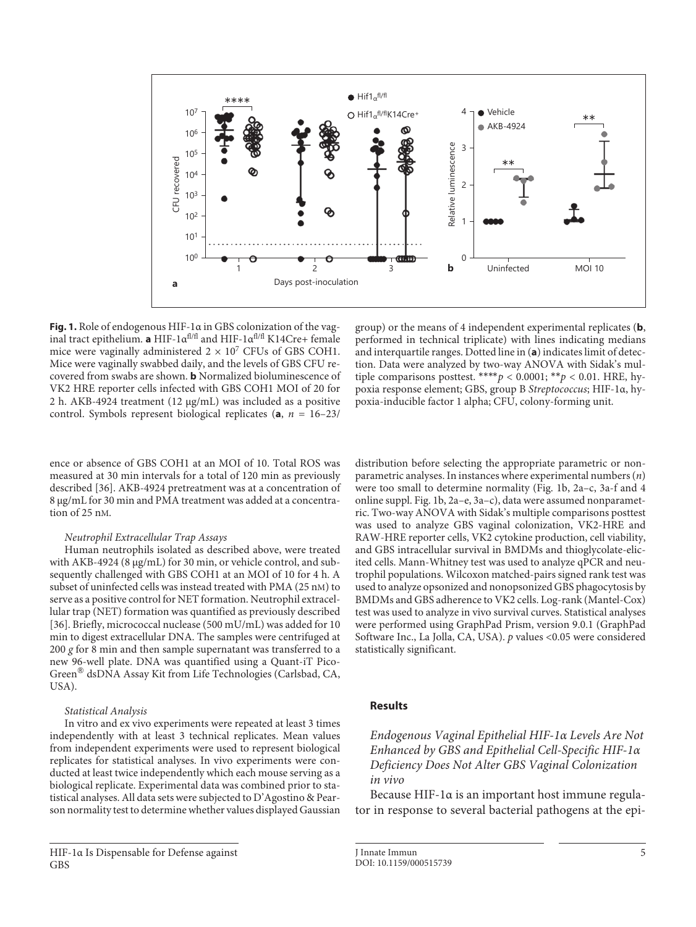

**Fig. 1.** Role of endogenous HIF-1α in GBS colonization of the vaginal tract epithelium. **a** HIF-1αfl/fl and HIF-1αfl/fl K14Cre+ female mice were vaginally administered  $2 \times 10^7$  CFUs of GBS COH1. Mice were vaginally swabbed daily, and the levels of GBS CFU recovered from swabs are shown. **b** Normalized bioluminescence of VK2 HRE reporter cells infected with GBS COH1 MOI of 20 for 2 h. AKB-4924 treatment (12 μg/mL) was included as a positive control. Symbols represent biological replicates  $(a, n = 16-23)$ 

ence or absence of GBS COH1 at an MOI of 10. Total ROS was measured at 30 min intervals for a total of 120 min as previously described [[3](#page-11-2)[6\]](#page-11-5). AKB-4924 pretreatment was at a concentration of 8 μg/mL for 30 min and PMA treatment was added at a concentration of 25 nM.

# *Neutrophil Extracellular Trap Assays*

Human neutrophils isolated as described above, were treated with AKB-4924 (8 μg/mL) for 30 min, or vehicle control, and subsequently challenged with GBS COH1 at an MOI of 10 for 4 h. A subset of uninfected cells was instead treated with PMA (25 nM) to serve as a positive control for NET formation. Neutrophil extracellular trap (NET) formation was quantified as previously described [[3](#page-11-2)[6\]](#page-11-5). Briefly, micrococcal nuclease (500 mU/mL) was added for 10 min to digest extracellular DNA. The samples were centrifuged at 200 *g* for 8 min and then sample supernatant was transferred to a new 96-well plate. DNA was quantified using a Quant-iT Pico-Green® dsDNA Assay Kit from Life Technologies (Carlsbad, CA, USA).

#### *Statistical Analysis*

In vitro and ex vivo experiments were repeated at least 3 times independently with at least 3 technical replicates. Mean values from independent experiments were used to represent biological replicates for statistical analyses. In vivo experiments were conducted at least twice independently which each mouse serving as a biological replicate. Experimental data was combined prior to statistical analyses. All data sets were subjected to D'Agostino & Pearson normality test to determine whether values displayed Gaussian

group) or the means of 4 independent experimental replicates (**b**, performed in technical triplicate) with lines indicating medians and interquartile ranges. Dotted line in (**a**) indicates limit of detection. Data were analyzed by two-way ANOVA with Sidak's multiple comparisons posttest. \*\*\*\* $p < 0.0001$ ; \*\* $p < 0.01$ . HRE, hypoxia response element; GBS, group B *Streptococcus*; HIF-1α, hypoxia-inducible factor 1 alpha; CFU, colony-forming unit.

distribution before selecting the appropriate parametric or nonparametric analyses. In instances where experimental numbers (*n*) were too small to determine normality (Fig. 1b, 2a–c, 3a-f and 4 online suppl. Fig. 1b, 2a–e, 3a–c), data were assumed nonparametric. Two-way ANOVA with Sidak's multiple comparisons posttest was used to analyze GBS vaginal colonization, VK2-HRE and RAW-HRE reporter cells, VK2 cytokine production, cell viability, and GBS intracellular survival in BMDMs and thioglycolate-elicited cells. Mann-Whitney test was used to analyze qPCR and neutrophil populations. Wilcoxon matched-pairs signed rank test was used to analyze opsonized and nonopsonized GBS phagocytosis by BMDMs and GBS adherence to VK2 cells. Log-rank (Mantel-Cox) test was used to analyze in vivo survival curves. Statistical analyses were performed using GraphPad Prism, version 9.0.1 (GraphPad Software Inc., La Jolla, CA, USA). *p* values <0.05 were considered statistically significant.

# **Results**

*Endogenous Vaginal Epithelial HIF-1α Levels Are Not Enhanced by GBS and Epithelial Cell-Specific HIF-1α Deficiency Does Not Alter GBS Vaginal Colonization in vivo*

Because HIF-1α is an important host immune regulator in response to several bacterial pathogens at the epi-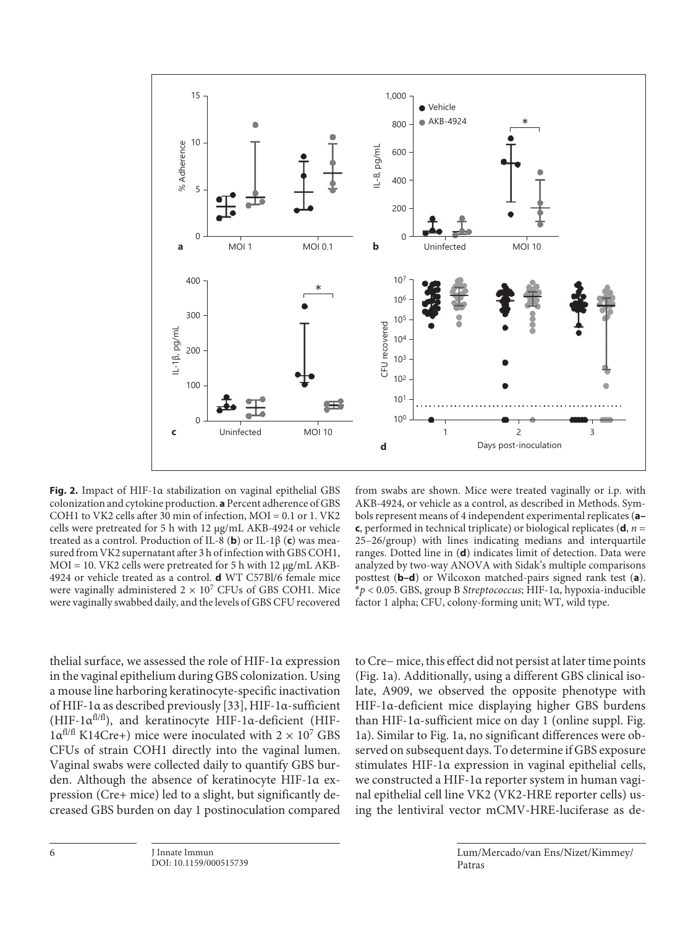

**Fig. 2.** Impact of HIF-1α stabilization on vaginal epithelial GBS colonization and cytokine production. **a** Percent adherence of GBS COH1 to VK2 cells after 30 min of infection, MOI = 0.1 or 1. VK2 cells were pretreated for 5 h with 12 μg/mL AKB-4924 or vehicle treated as a control. Production of IL-8 (**b**) or IL-1β (**c**) was measured from VK2 supernatant after 3 h of infection with GBS COH1,  $MOI = 10$ . VK2 cells were pretreated for 5 h with 12  $\mu$ g/mL AKB-4924 or vehicle treated as a control. **d** WT C57Bl/6 female mice were vaginally administered  $2 \times 10^7$  CFUs of GBS COH1. Mice were vaginally swabbed daily, and the levels of GBS CFU recovered

from swabs are shown. Mice were treated vaginally or i.p. with AKB-4924, or vehicle as a control, as described in Methods. Symbols represent means of 4 independent experimental replicates (**a– c**, performed in technical triplicate) or biological replicates (**d**,  $n =$ 25–26/group) with lines indicating medians and interquartile ranges. Dotted line in (**d**) indicates limit of detection. Data were analyzed by two-way ANOVA with Sidak's multiple comparisons posttest (**b–d**) or Wilcoxon matched-pairs signed rank test (**a**). \**p* < 0.05. GBS, group B *Streptococcus*; HIF-1α, hypoxia-inducible factor 1 alpha; CFU, colony-forming unit; WT, wild type.

thelial surface, we assessed the role of HIF-1α expression in the vaginal epithelium during GBS colonization. Using a mouse line harboring keratinocyte-specific inactivation of HIF-1α as described previously [[33](#page-11-2)], HIF-1α-sufficient (HIF-1αfl/fl), and keratinocyte HIF-1α-deficient (HIF- $1\alpha$ <sup>fl/fl</sup> K14Cre+) mice were inoculated with  $2 \times 10^7$  GBS CFUs of strain COH1 directly into the vaginal lumen. Vaginal swabs were collected daily to quantify GBS burden. Although the absence of keratinocyte HIF-1α expression (Cre+ mice) led to a slight, but significantly decreased GBS burden on day 1 postinoculation compared

to Cre− mice, this effect did not persist at later time points (Fig. 1a). Additionally, using a different GBS clinical isolate, A909, we observed the opposite phenotype with HIF-1α-deficient mice displaying higher GBS burdens than HIF-1α-sufficient mice on day 1 (online suppl. Fig. 1a). Similar to Fig. 1a, no significant differences were observed on subsequent days. To determine if GBS exposure stimulates HIF-1α expression in vaginal epithelial cells, we constructed a HIF-1α reporter system in human vaginal epithelial cell line VK2 (VK2-HRE reporter cells) using the lentiviral vector mCMV-HRE-luciferase as de-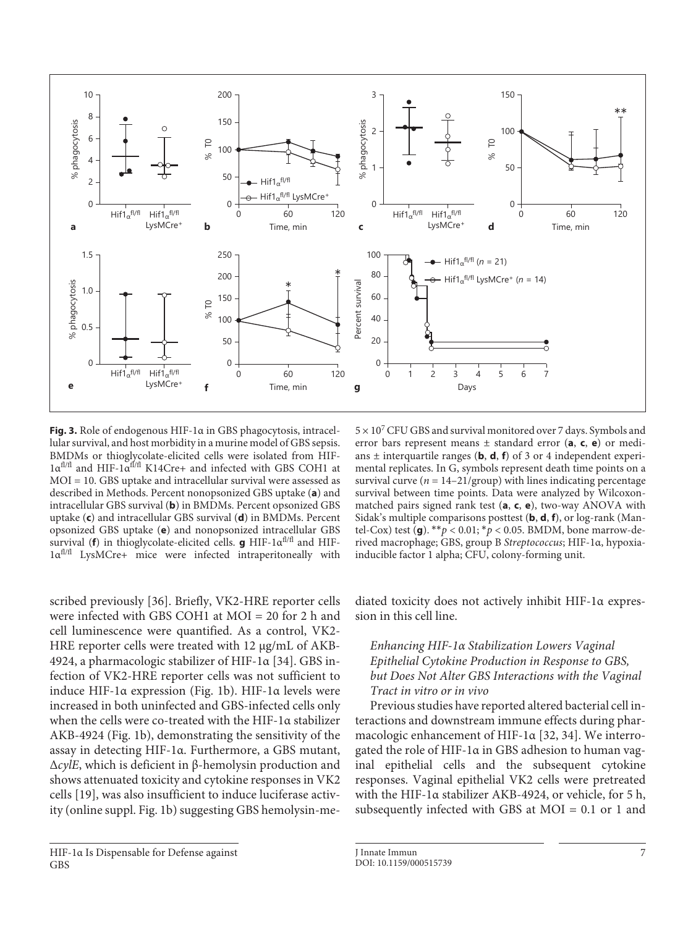

**Fig. 3.** Role of endogenous HIF-1α in GBS phagocytosis, intracellular survival, and host morbidity in a murine model of GBS sepsis. BMDMs or thioglycolate-elicited cells were isolated from HIF-1αfl/fl and HIF-1αfl/fl K14Cre+ and infected with GBS COH1 at MOI = 10. GBS uptake and intracellular survival were assessed as described in Methods. Percent nonopsonized GBS uptake (**a**) and intracellular GBS survival (**b**) in BMDMs. Percent opsonized GBS uptake (**c**) and intracellular GBS survival (**d**) in BMDMs. Percent opsonized GBS uptake (**e**) and nonopsonized intracellular GBS survival (**f**) in thioglycolate-elicited cells. **g** HIF-1αfl/fl and HIF-1αfl/fl LysMCre+ mice were infected intraperitoneally with

scribed previously [[3](#page-11-2)[6](#page-11-5)]. Briefly, VK2-HRE reporter cells were infected with GBS COH1 at MOI = 20 for 2 h and cell luminescence were quantified. As a control, VK2- HRE reporter cells were treated with 12 μg/mL of AKB-4924, a pharmacologic stabilizer of HIF-1α [\[3](#page-11-2)[4\]](#page-11-3). GBS infection of VK2-HRE reporter cells was not sufficient to induce HIF-1α expression (Fig. 1b). HIF-1α levels were increased in both uninfected and GBS-infected cells only when the cells were co-treated with the HIF-1α stabilizer AKB-4924 (Fig. 1b), demonstrating the sensitivity of the assay in detecting HIF-1α. Furthermore, a GBS mutant, Δ*cylE*, which is deficient in β-hemolysin production and shows attenuated toxicity and cytokine responses in VK2 cells [[1](#page-11-0)[9](#page-11-8)], was also insufficient to induce luciferase activity (online suppl. Fig. 1b) suggesting GBS hemolysin-me-

 $5 \times 10^7$  CFU GBS and survival monitored over 7 days. Symbols and error bars represent means ± standard error (**a**, **c**, **e**) or medians  $\pm$  interquartile ranges (**b**, **d**, **f**) of 3 or 4 independent experimental replicates. In G, symbols represent death time points on a survival curve  $(n = 14-21/\text{group})$  with lines indicating percentage survival between time points. Data were analyzed by Wilcoxonmatched pairs signed rank test (**a**, **c**, **e**), two-way ANOVA with Sidak's multiple comparisons posttest (**b**, **d**, **f**), or log-rank (Mantel-Cox) test (**g**). \*\**p* < 0.01; \**p* < 0.05. BMDM, bone marrow-derived macrophage; GBS, group B *Streptococcus*; HIF-1α, hypoxiainducible factor 1 alpha; CFU, colony-forming unit.

diated toxicity does not actively inhibit HIF-1α expression in this cell line.

# *Enhancing HIF-1α Stabilization Lowers Vaginal Epithelial Cytokine Production in Response to GBS, but Does Not Alter GBS Interactions with the Vaginal Tract in vitro or in vivo*

Previous studies have reported altered bacterial cell interactions and downstream immune effects during pharmacologic enhancement of HIF-1α [\[3](#page-11-2)[2,](#page-11-1) [3](#page-11-2)[4](#page-11-3)]. We interrogated the role of HIF-1α in GBS adhesion to human vaginal epithelial cells and the subsequent cytokine responses. Vaginal epithelial VK2 cells were pretreated with the HIF-1α stabilizer AKB-4924, or vehicle, for 5 h, subsequently infected with GBS at MOI = 0.1 or 1 and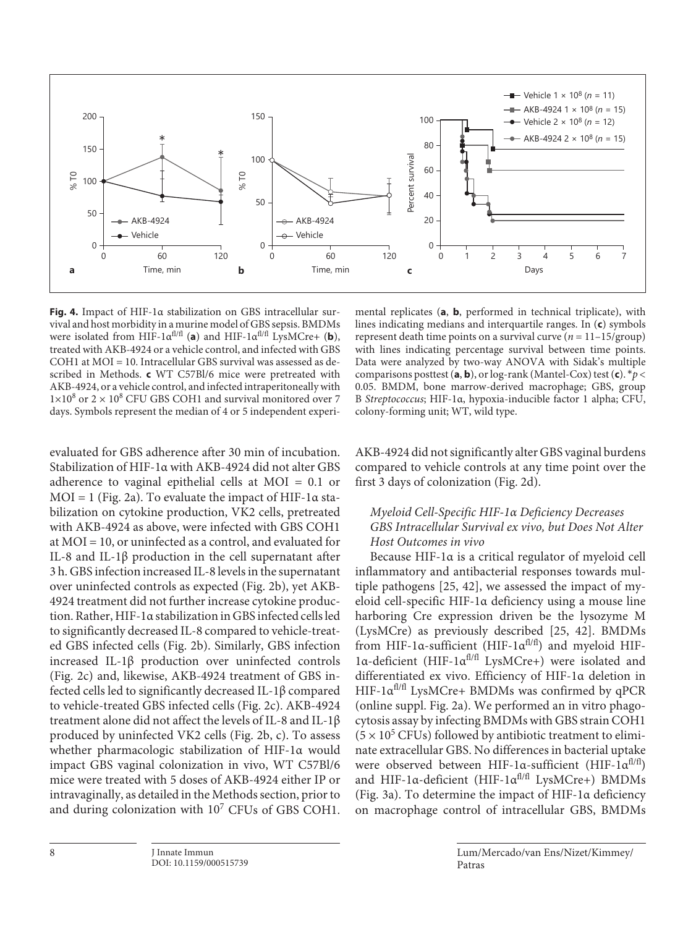

**Fig. 4.** Impact of HIF-1α stabilization on GBS intracellular survival and host morbidity in a murine model of GBS sepsis. BMDMs were isolated from HIF-1 $\alpha^{f1/f}$  (**a**) and HIF-1 $\alpha^{f1/f1}$  LysMCre+ (**b**), treated with AKB-4924 or a vehicle control, and infected with GBS COH1 at MOI = 10. Intracellular GBS survival was assessed as described in Methods. **c** WT C57Bl/6 mice were pretreated with AKB-4924, or a vehicle control, and infected intraperitoneally with  $1\times10^8$  or  $2\times10^8$  CFU GBS COH1 and survival monitored over 7 days. Symbols represent the median of 4 or 5 independent experi-

evaluated for GBS adherence after 30 min of incubation. Stabilization of HIF-1α with AKB-4924 did not alter GBS adherence to vaginal epithelial cells at MOI = 0.1 or  $MOI = 1$  (Fig. 2a). To evaluate the impact of HIF-1 $\alpha$  stabilization on cytokine production, VK2 cells, pretreated with AKB-4924 as above, were infected with GBS COH1 at MOI = 10, or uninfected as a control, and evaluated for IL-8 and IL-1β production in the cell supernatant after 3 h. GBS infection increased IL-8 levels in the supernatant over uninfected controls as expected (Fig. 2b), yet AKB-4924 treatment did not further increase cytokine production. Rather, HIF-1α stabilization in GBS infected cells led to significantly decreased IL-8 compared to vehicle-treated GBS infected cells (Fig. 2b). Similarly, GBS infection increased IL-1β production over uninfected controls (Fig. 2c) and, likewise, AKB-4924 treatment of GBS infected cells led to significantly decreased IL-1β compared to vehicle-treated GBS infected cells (Fig. 2c). AKB-4924 treatment alone did not affect the levels of IL-8 and IL-1β produced by uninfected VK2 cells (Fig. 2b, c). To assess whether pharmacologic stabilization of HIF-1α would impact GBS vaginal colonization in vivo, WT C57Bl/6 mice were treated with 5 doses of AKB-4924 either IP or intravaginally, as detailed in the Methods section, prior to and during colonization with 10<sup>7</sup> CFUs of GBS COH1.

mental replicates (**a**, **b**, performed in technical triplicate), with lines indicating medians and interquartile ranges. In (**c**) symbols represent death time points on a survival curve  $(n = 11 - 15/$ group) with lines indicating percentage survival between time points. Data were analyzed by two-way ANOVA with Sidak's multiple comparisons posttest (**a**, **b**), or log-rank (Mantel-Cox) test (**c**). \**p* < 0.05. BMDM, bone marrow-derived macrophage; GBS, group B *Streptococcus*; HIF-1α, hypoxia-inducible factor 1 alpha; CFU, colony-forming unit; WT, wild type.

AKB-4924 did not significantly alter GBS vaginal burdens compared to vehicle controls at any time point over the first 3 days of colonization (Fig. 2d).

# *Myeloid Cell-Specific HIF-1α Deficiency Decreases GBS Intracellular Survival ex vivo, but Does Not Alter Host Outcomes in vivo*

<span id="page-7-0"></span>Because HIF-1α is a critical regulator of myeloid cell inflammatory and antibacterial responses towards multiple pathogens [\[2](#page-11-1)[5,](#page-11-4) [4](#page-11-3)[2](#page-11-1)], we assessed the impact of myeloid cell-specific HIF-1α deficiency using a mouse line harboring Cre expression driven be the lysozyme M (LysMCre) as previously described [\[2](#page-11-1)[5,](#page-11-4) [4](#page-11-3)[2](#page-11-1)]. BMDMs from HIF-1 $\alpha$ -sufficient (HIF-1 $\alpha$ <sup>fl/fl</sup>) and myeloid HIF-1α-deficient (HIF-1αfl/fl LysMCre+) were isolated and differentiated ex vivo. Efficiency of HIF-1α deletion in HIF-1 $\alpha^{fl/fl}$  LysMCre+ BMDMs was confirmed by qPCR (online suppl. Fig. 2a). We performed an in vitro phagocytosis assay by infecting BMDMs with GBS strain COH1  $(5 \times 10^5 \text{ CFUs})$  followed by antibiotic treatment to eliminate extracellular GBS. No differences in bacterial uptake were observed between HIF-1 $\alpha$ -sufficient (HIF-1 $\alpha$ <sup>fl/fl</sup>) and HIF-1α-deficient (HIF-1α<sup>fl/fl</sup> LysMCre+) BMDMs (Fig. 3a). To determine the impact of HIF-1α deficiency on macrophage control of intracellular GBS, BMDMs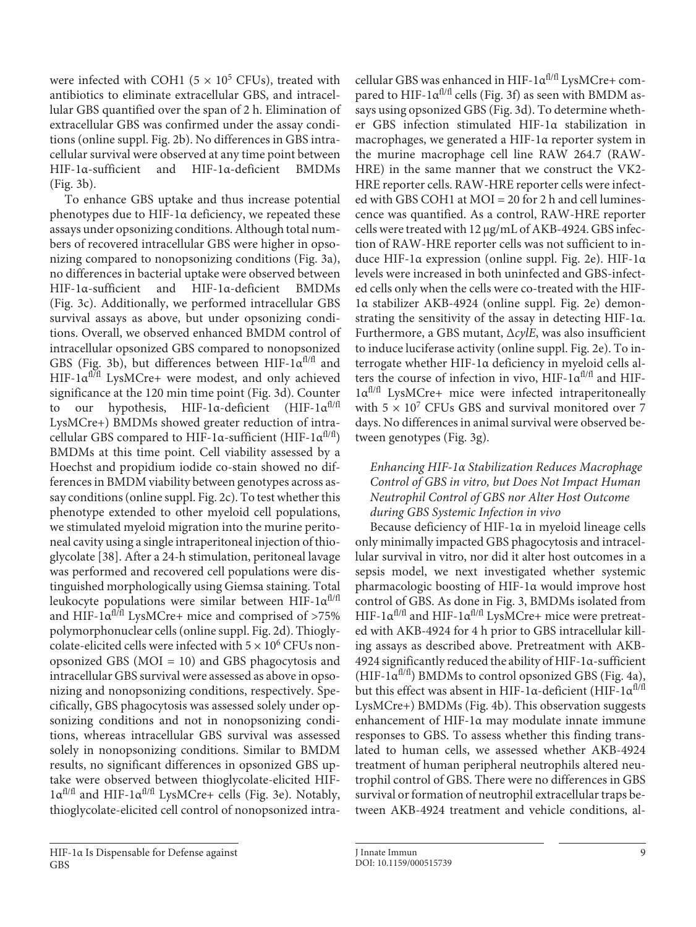were infected with COH1 ( $5 \times 10^5$  CFUs), treated with antibiotics to eliminate extracellular GBS, and intracellular GBS quantified over the span of 2 h. Elimination of extracellular GBS was confirmed under the assay conditions (online suppl. Fig. 2b). No differences in GBS intracellular survival were observed at any time point between HIF-1α-sufficient and HIF-1α-deficient BMDMs (Fig. 3b).

To enhance GBS uptake and thus increase potential phenotypes due to HIF-1α deficiency, we repeated these assays under opsonizing conditions. Although total numbers of recovered intracellular GBS were higher in opsonizing compared to nonopsonizing conditions (Fig. 3a), no differences in bacterial uptake were observed between HIF-1α-sufficient and HIF-1α-deficient BMDMs (Fig. 3c). Additionally, we performed intracellular GBS survival assays as above, but under opsonizing conditions. Overall, we observed enhanced BMDM control of intracellular opsonized GBS compared to nonopsonized GBS (Fig. 3b), but differences between HIF- $1\alpha^{fl/fl}$  and HIF- $1\alpha$ <sup>fl/fl</sup> LysMCre+ were modest, and only achieved significance at the 120 min time point (Fig. 3d). Counter to our hypothesis, HIF-1 $\alpha$ -deficient (HIF-1 $\alpha$ <sup>fl/fl</sup> LysMCre+) BMDMs showed greater reduction of intracellular GBS compared to HIF-1 $\alpha$ -sufficient (HIF-1 $\alpha$ <sup>fl/fl</sup>) BMDMs at this time point. Cell viability assessed by a Hoechst and propidium iodide co-stain showed no differences in BMDM viability between genotypes across assay conditions (online suppl. Fig. 2c). To test whether this phenotype extended to other myeloid cell populations, we stimulated myeloid migration into the murine peritoneal cavity using a single intraperitoneal injection of thioglycolate [\[3](#page-11-2)[8](#page-11-7)]. After a 24-h stimulation, peritoneal lavage was performed and recovered cell populations were distinguished morphologically using Giemsa staining. Total leukocyte populations were similar between HIF-1 $\alpha^{fl/fl}$ and HIF-1 $\alpha$ <sup>fl/fl</sup> LysMCre+ mice and comprised of >75% polymorphonuclear cells (online suppl. Fig. 2d). Thioglycolate-elicited cells were infected with  $5 \times 10^6$  CFUs nonopsonized GBS (MOI = 10) and GBS phagocytosis and intracellular GBS survival were assessed as above in opsonizing and nonopsonizing conditions, respectively. Specifically, GBS phagocytosis was assessed solely under opsonizing conditions and not in nonopsonizing conditions, whereas intracellular GBS survival was assessed solely in nonopsonizing conditions. Similar to BMDM results, no significant differences in opsonized GBS uptake were observed between thioglycolate-elicited HIF-1αfl/fl and HIF-1αfl/fl LysMCre+ cells (Fig. 3e). Notably, thioglycolate-elicited cell control of nonopsonized intracellular GBS was enhanced in HIF-1αfl/fl LysMCre+ compared to HIF-1 $\alpha^{fl/fl}$  cells (Fig. 3f) as seen with BMDM assays using opsonized GBS (Fig. 3d). To determine whether GBS infection stimulated HIF-1α stabilization in macrophages, we generated a HIF-1α reporter system in the murine macrophage cell line RAW 264.7 (RAW-HRE) in the same manner that we construct the VK2- HRE reporter cells. RAW-HRE reporter cells were infected with GBS COH1 at MOI = 20 for 2 h and cell luminescence was quantified. As a control, RAW-HRE reporter cells were treated with 12 μg/mL of AKB-4924. GBS infection of RAW-HRE reporter cells was not sufficient to induce HIF-1α expression (online suppl. Fig. 2e). HIF-1α levels were increased in both uninfected and GBS-infected cells only when the cells were co-treated with the HIF-1α stabilizer AKB-4924 (online suppl. Fig. 2e) demonstrating the sensitivity of the assay in detecting HIF-1α. Furthermore, a GBS mutant, Δ*cylE*, was also insufficient to induce luciferase activity (online suppl. Fig. 2e). To interrogate whether HIF-1α deficiency in myeloid cells alters the course of infection in vivo,  $HIF-I\alpha^{fl/fI}$  and  $HIF-I$ 1αfl/fl LysMCre+ mice were infected intraperitoneally with  $5 \times 10^7$  CFUs GBS and survival monitored over 7 days. No differences in animal survival were observed between genotypes (Fig. 3g).

# *Enhancing HIF-1α Stabilization Reduces Macrophage Control of GBS in vitro, but Does Not Impact Human Neutrophil Control of GBS nor Alter Host Outcome during GBS Systemic Infection in vivo*

Because deficiency of HIF-1α in myeloid lineage cells only minimally impacted GBS phagocytosis and intracellular survival in vitro, nor did it alter host outcomes in a sepsis model, we next investigated whether systemic pharmacologic boosting of HIF-1α would improve host control of GBS. As done in Fig. 3, BMDMs isolated from HIF-1 $\alpha$ <sup>fl/fl</sup> and HIF-1 $\alpha$ <sup>fl/fl</sup> LysMCre+ mice were pretreated with AKB-4924 for 4 h prior to GBS intracellular killing assays as described above. Pretreatment with AKB-4924 significantly reduced the ability of HIF-1α-sufficient (HIF-1 $\alpha^{f(fl)}$ ) BMDMs to control opsonized GBS (Fig. 4a), but this effect was absent in HIF-1 $\alpha$ -deficient (HIF-1 $\alpha$ <sup>fl/fl</sup> LysMCre+) BMDMs (Fig. 4b). This observation suggests enhancement of HIF-1α may modulate innate immune responses to GBS. To assess whether this finding translated to human cells, we assessed whether AKB-4924 treatment of human peripheral neutrophils altered neutrophil control of GBS. There were no differences in GBS survival or formation of neutrophil extracellular traps between AKB-4924 treatment and vehicle conditions, al-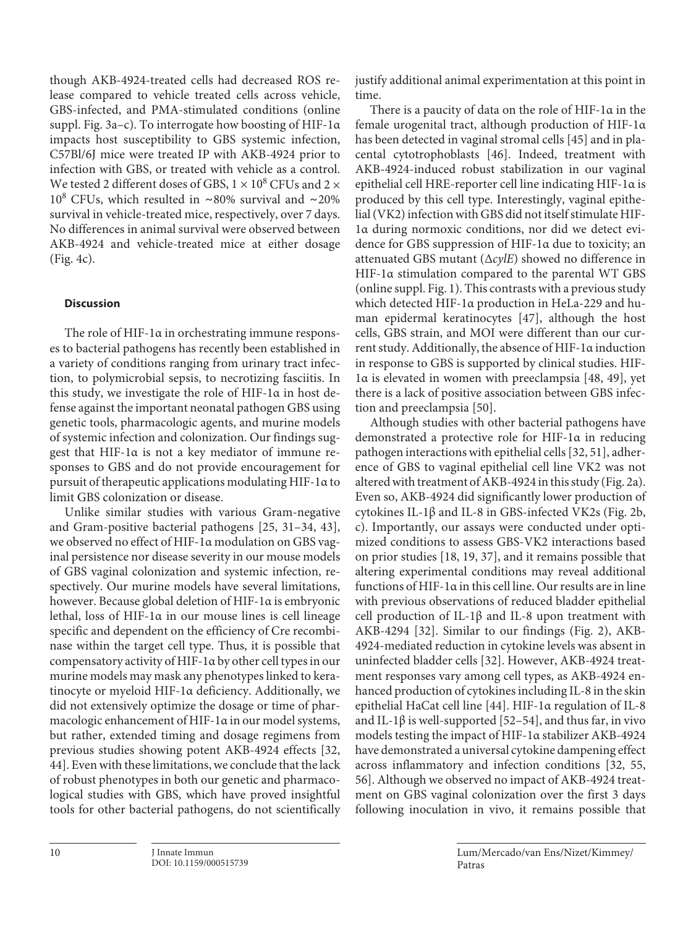though AKB-4924-treated cells had decreased ROS release compared to vehicle treated cells across vehicle, GBS-infected, and PMA-stimulated conditions (online suppl. Fig. 3a–c). To interrogate how boosting of HIF-1α impacts host susceptibility to GBS systemic infection, C57Bl/6J mice were treated IP with AKB-4924 prior to infection with GBS, or treated with vehicle as a control. We tested 2 different doses of GBS,  $1 \times 10^8$  CFUs and  $2 \times$ 108 CFUs, which resulted in ∼80% survival and ∼20% survival in vehicle-treated mice, respectively, over 7 days. No differences in animal survival were observed between AKB-4924 and vehicle-treated mice at either dosage (Fig. 4c).

# **Discussion**

The role of HIF-1α in orchestrating immune responses to bacterial pathogens has recently been established in a variety of conditions ranging from urinary tract infection, to polymicrobial sepsis, to necrotizing fasciitis. In this study, we investigate the role of HIF-1α in host defense against the important neonatal pathogen GBS using genetic tools, pharmacologic agents, and murine models of systemic infection and colonization. Our findings suggest that HIF-1α is not a key mediator of immune responses to GBS and do not provide encouragement for pursuit of therapeutic applications modulating HIF-1α to limit GBS colonization or disease.

<span id="page-9-1"></span><span id="page-9-0"></span>Unlike similar studies with various Gram-negative and Gram-positive bacterial pathogens [[2](#page-11-1)[5](#page-11-4), [3](#page-11-2)[1–](#page-11-0)[3](#page-11-2)[4](#page-11-3), [4](#page-11-3)[3\]](#page-11-2), we observed no effect of HIF-1α modulation on GBS vaginal persistence nor disease severity in our mouse models of GBS vaginal colonization and systemic infection, respectively. Our murine models have several limitations, however. Because global deletion of HIF-1α is embryonic lethal, loss of HIF-1α in our mouse lines is cell lineage specific and dependent on the efficiency of Cre recombinase within the target cell type. Thus, it is possible that compensatory activity of HIF-1α by other cell types in our murine models may mask any phenotypes linked to keratinocyte or myeloid HIF-1α deficiency. Additionally, we did not extensively optimize the dosage or time of pharmacologic enhancement of HIF-1α in our model systems, but rather, extended timing and dosage regimens from previous studies showing potent AKB-4924 effects [\[3](#page-11-2)[2,](#page-11-1) [44](#page-11-3)]. Even with these limitations, we conclude that the lack of robust phenotypes in both our genetic and pharmacological studies with GBS, which have proved insightful tools for other bacterial pathogens, do not scientifically justify additional animal experimentation at this point in time.

<span id="page-9-3"></span><span id="page-9-2"></span>There is a paucity of data on the role of HIF-1α in the female urogenital tract, although production of HIF-1α has been detected in vaginal stromal cells [[4](#page-11-3)[5\]](#page-11-4) and in placental cytotrophoblasts [\[4](#page-11-3)[6](#page-11-5)]. Indeed, treatment with AKB-4924-induced robust stabilization in our vaginal epithelial cell HRE-reporter cell line indicating HIF-1α is produced by this cell type. Interestingly, vaginal epithelial (VK2) infection with GBS did not itself stimulate HIF-1α during normoxic conditions, nor did we detect evidence for GBS suppression of HIF-1α due to toxicity; an attenuated GBS mutant (Δ*cylE*) showed no difference in HIF-1α stimulation compared to the parental WT GBS (online suppl. Fig. 1). This contrasts with a previous study which detected HIF-1α production in HeLa-229 and human epidermal keratinocytes [\[4](#page-11-3)[7\]](#page-11-6), although the host cells, GBS strain, and MOI were different than our current study. Additionally, the absence of HIF-1α induction in response to GBS is supported by clinical studies. HIF-1α is elevated in women with preeclampsia [\[4](#page-11-3)[8,](#page-11-7) [4](#page-11-3)[9](#page-11-8)], yet there is a lack of positive association between GBS infection and preeclampsia [[5](#page-11-4)0].

<span id="page-9-9"></span><span id="page-9-8"></span><span id="page-9-7"></span><span id="page-9-6"></span><span id="page-9-5"></span><span id="page-9-4"></span>Although studies with other bacterial pathogens have demonstrated a protective role for HIF-1α in reducing pathogen interactions with epithelial cells [\[3](#page-11-2)[2,](#page-11-1) [5](#page-11-4)[1](#page-11-0)], adherence of GBS to vaginal epithelial cell line VK2 was not altered with treatment of AKB-4924 in this study (Fig. 2a). Even so, AKB-4924 did significantly lower production of cytokines IL-1β and IL-8 in GBS-infected VK2s (Fig. 2b, c). Importantly, our assays were conducted under optimized conditions to assess GBS-VK2 interactions based on prior studies [\[1](#page-11-0)[8,](#page-11-7) [1](#page-11-0)[9,](#page-11-8) [3](#page-11-2)[7](#page-11-6)], and it remains possible that altering experimental conditions may reveal additional functions of HIF-1α in this cell line. Our results are in line with previous observations of reduced bladder epithelial cell production of IL-1β and IL-8 upon treatment with AKB-4294 [\[3](#page-11-2)[2\]](#page-11-1). Similar to our findings (Fig. 2), AKB-4924-mediated reduction in cytokine levels was absent in uninfected bladder cells [\[3](#page-11-2)[2\]](#page-11-1). However, AKB-4924 treatment responses vary among cell types, as AKB-4924 enhanced production of cytokines including IL-8 in the skin epithelial HaCat cell line [\[44\]](#page-11-3). HIF-1α regulation of IL-8 and IL-1 $\beta$  is well-supported [[5](#page-11-4)[2–](#page-11-1)5[4\]](#page-11-3), and thus far, in vivo models testing the impact of HIF-1α stabilizer AKB-4924 have demonstrated a universal cytokine dampening effect across inflammatory and infection conditions [\[3](#page-11-2)[2,](#page-11-1) [55](#page-11-4), [5](#page-11-4)[6\]](#page-11-5). Although we observed no impact of AKB-4924 treatment on GBS vaginal colonization over the first 3 days following inoculation in vivo, it remains possible that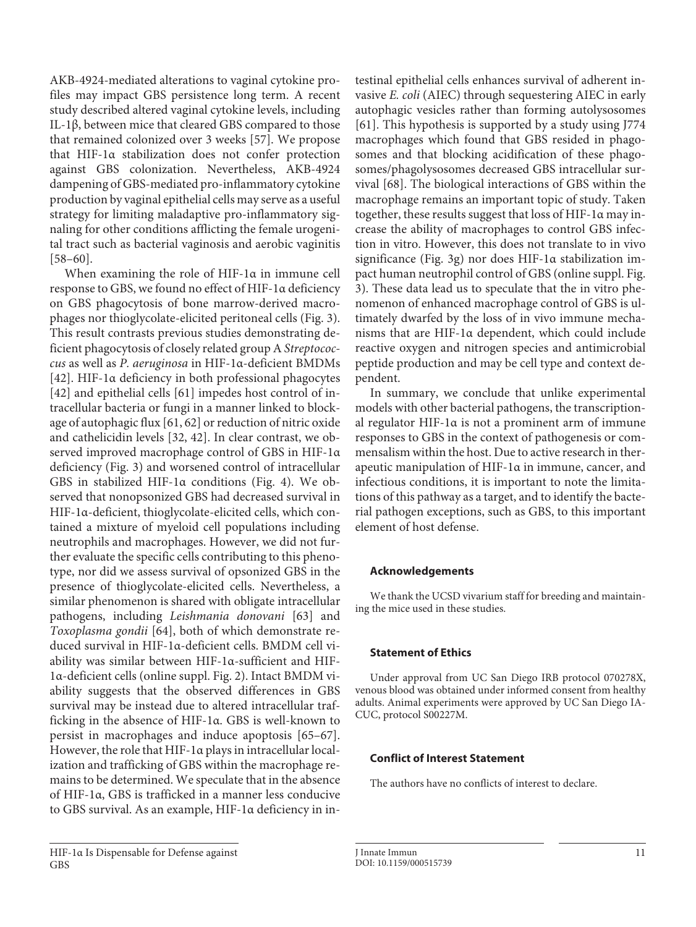<span id="page-10-0"></span>AKB-4924-mediated alterations to vaginal cytokine profiles may impact GBS persistence long term. A recent study described altered vaginal cytokine levels, including IL-1β, between mice that cleared GBS compared to those that remained colonized over 3 weeks [[5](#page-11-4)[7](#page-11-6)]. We propose that HIF-1α stabilization does not confer protection against GBS colonization. Nevertheless, AKB-4924 dampening of GBS-mediated pro-inflammatory cytokine production by vaginal epithelial cells may serve as a useful strategy for limiting maladaptive pro-inflammatory signaling for other conditions afflicting the female urogenital tract such as bacterial vaginosis and aerobic vaginitis [\[5](#page-11-4)[8–](#page-11-7)[60](#page-11-5)].

<span id="page-10-1"></span>When examining the role of HIF-1α in immune cell response to GBS, we found no effect of HIF-1α deficiency on GBS phagocytosis of bone marrow-derived macrophages nor thioglycolate-elicited peritoneal cells (Fig. 3). This result contrasts previous studies demonstrating deficient phagocytosis of closely related group A *Streptococcus* as well as *P. aeruginosa* in HIF-1α-deficient BMDMs [\[4](#page-11-3)[2\]](#page-11-1). HIF-1α deficiency in both professional phagocytes [\[4](#page-11-3)[2\]](#page-11-1) and epithelial cells [\[6](#page-11-5)[1](#page-11-0)] impedes host control of intracellular bacteria or fungi in a manner linked to blockage of autophagic flux [\[6](#page-11-5)[1,](#page-11-0) [6](#page-11-5)[2\]](#page-11-1) or reduction of nitric oxide and cathelicidin levels [\[3](#page-11-2)[2,](#page-11-1) [4](#page-11-3)[2\]](#page-11-1). In clear contrast, we observed improved macrophage control of GBS in HIF-1α deficiency (Fig. 3) and worsened control of intracellular GBS in stabilized HIF-1α conditions (Fig. 4). We observed that nonopsonized GBS had decreased survival in HIF-1α-deficient, thioglycolate-elicited cells, which contained a mixture of myeloid cell populations including neutrophils and macrophages. However, we did not further evaluate the specific cells contributing to this phenotype, nor did we assess survival of opsonized GBS in the presence of thioglycolate-elicited cells. Nevertheless, a similar phenomenon is shared with obligate intracellular pathogens, including *Leishmania donovani* [[6](#page-11-5)[3](#page-11-2)] and *Toxoplasma gondii* [[6](#page-11-5)[4](#page-11-3)], both of which demonstrate reduced survival in HIF-1α-deficient cells. BMDM cell viability was similar between HIF-1α-sufficient and HIF-1α-deficient cells (online suppl. Fig. 2). Intact BMDM viability suggests that the observed differences in GBS survival may be instead due to altered intracellular trafficking in the absence of HIF-1α. GBS is well-known to persist in macrophages and induce apoptosis [\[6](#page-11-5)[5](#page-11-4)[–6](#page-11-5)[7\]](#page-11-6). However, the role that HIF-1α plays in intracellular localization and trafficking of GBS within the macrophage remains to be determined. We speculate that in the absence of HIF-1α, GBS is trafficked in a manner less conducive to GBS survival. As an example, HIF-1α deficiency in intestinal epithelial cells enhances survival of adherent invasive *E. coli* (AIEC) through sequestering AIEC in early autophagic vesicles rather than forming autolysosomes [[6](#page-11-5)[1](#page-11-0)]. This hypothesis is supported by a study using J774 macrophages which found that GBS resided in phagosomes and that blocking acidification of these phagosomes/phagolysosomes decreased GBS intracellular survival [[6](#page-11-5)[8](#page-11-7)]. The biological interactions of GBS within the macrophage remains an important topic of study. Taken together, these results suggest that loss of HIF-1α may increase the ability of macrophages to control GBS infection in vitro. However, this does not translate to in vivo significance (Fig. 3g) nor does HIF-1α stabilization impact human neutrophil control of GBS (online suppl. Fig. 3). These data lead us to speculate that the in vitro phenomenon of enhanced macrophage control of GBS is ultimately dwarfed by the loss of in vivo immune mechanisms that are HIF-1α dependent, which could include reactive oxygen and nitrogen species and antimicrobial peptide production and may be cell type and context dependent.

In summary, we conclude that unlike experimental models with other bacterial pathogens, the transcriptional regulator HIF-1α is not a prominent arm of immune responses to GBS in the context of pathogenesis or commensalism within the host. Due to active research in therapeutic manipulation of HIF-1α in immune, cancer, and infectious conditions, it is important to note the limitations of this pathway as a target, and to identify the bacterial pathogen exceptions, such as GBS, to this important element of host defense.

# **Acknowledgements**

We thank the UCSD vivarium staff for breeding and maintaining the mice used in these studies.

# **Statement of Ethics**

Under approval from UC San Diego IRB protocol 070278X, venous blood was obtained under informed consent from healthy adults. Animal experiments were approved by UC San Diego IA-CUC, protocol S00227M.

# **Conflict of Interest Statement**

The authors have no conflicts of interest to declare.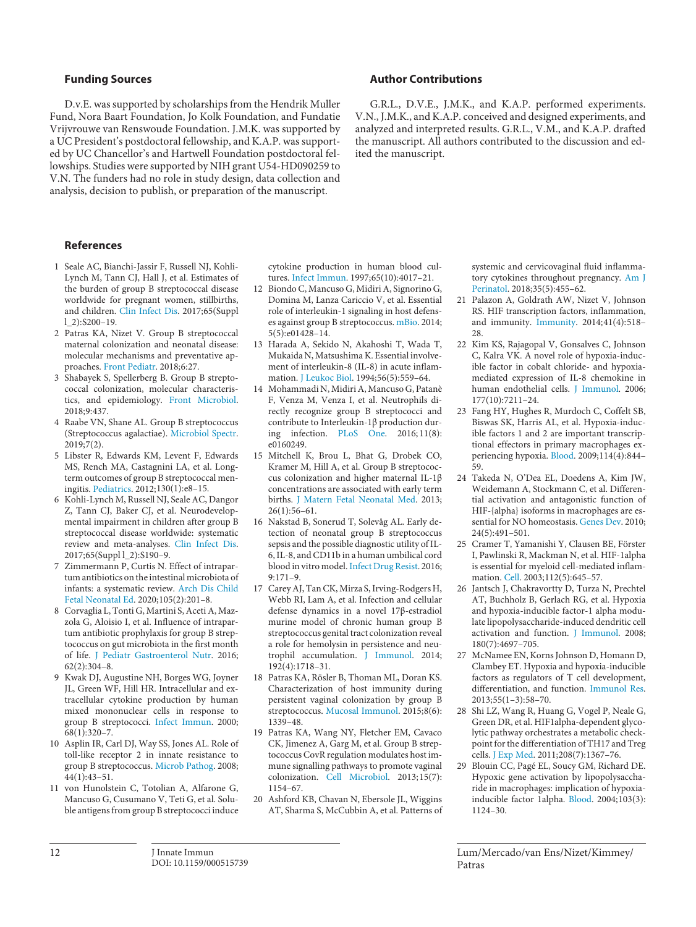## **Funding Sources**

D.v.E. was supported by scholarships from the Hendrik Muller Fund, Nora Baart Foundation, Jo Kolk Foundation, and Fundatie Vrijvrouwe van Renswoude Foundation. J.M.K. was supported by a UC President's postdoctoral fellowship, and K.A.P. was supported by UC Chancellor's and Hartwell Foundation postdoctoral fellowships. Studies were supported by NIH grant U54-HD090259 to V.N. The funders had no role in study design, data collection and analysis, decision to publish, or preparation of the manuscript.

# **References**

- <span id="page-11-0"></span>[1](#page-1-0) Seale AC, Bianchi-Jassir F, Russell NJ, Kohli-Lynch M, Tann CJ, Hall J, et al. Estimates of the burden of group B streptococcal disease worldwide for pregnant women, stillbirths, and children. [Clin Infect Dis.](https://www.karger.com/Article/FullText/515739?ref=1#ref1) 2017;65(Suppl l\_2):S200–19.
- <span id="page-11-1"></span>[2](#page-1-1) Patras KA, Nizet V. Group B streptococcal maternal colonization and neonatal disease: molecular mechanisms and preventative approaches. [Front Pediatr](https://www.karger.com/Article/FullText/515739?ref=2#ref2). 2018;6:27.
- <span id="page-11-2"></span>[3](#page-1-2) Shabayek S, Spellerberg B. Group B streptococcal colonization, molecular characteristics, and epidemiology. [Front Microbiol](https://www.karger.com/Article/FullText/515739?ref=3#ref3). 2018;9:437.
- <span id="page-11-3"></span>[4](#page-1-3) Raabe VN, Shane AL. Group B streptococcus (Streptococcus agalactiae). [Microbiol Spectr](https://www.karger.com/Article/FullText/515739?ref=4#ref4). 2019;7(2).
- <span id="page-11-4"></span>[5](#page-1-4) Libster R, Edwards KM, Levent F, Edwards MS, Rench MA, Castagnini LA, et al. Longterm outcomes of group B streptococcal meningitis. [Pediatrics](https://www.karger.com/Article/FullText/515739?ref=5#ref5). 2012;130(1):e8–15.
- <span id="page-11-5"></span>[6](#page-1-4) Kohli-Lynch M, Russell NJ, Seale AC, Dangor Z, Tann CJ, Baker CJ, et al. Neurodevelopmental impairment in children after group B streptococcal disease worldwide: systematic review and meta-analyses. [Clin Infect Dis](https://www.karger.com/Article/FullText/515739?ref=6#ref6). 2017;65(Suppl l\_2):S190–9.
- <span id="page-11-6"></span>[7](#page-1-5) Zimmermann P, Curtis N. Effect of intrapartum antibiotics on the intestinal microbiota of infants: a systematic review. [Arch Dis Child](https://www.karger.com/Article/FullText/515739?ref=7#ref7) [Fetal Neonatal Ed](https://www.karger.com/Article/FullText/515739?ref=7#ref7). 2020;105(2):201–8.
- <span id="page-11-7"></span>[8](#page-1-6) Corvaglia L, Tonti G, Martini S, Aceti A, Mazzola G, Aloisio I, et al. Influence of intrapartum antibiotic prophylaxis for group B streptococcus on gut microbiota in the first month of life. [J Pediatr Gastroenterol Nutr.](https://www.karger.com/Article/FullText/515739?ref=8#ref8) 2016; 62(2):304–8.
- <span id="page-11-8"></span>[9](#page-1-7) Kwak DJ, Augustine NH, Borges WG, Joyner JL, Green WF, Hill HR. Intracellular and extracellular cytokine production by human mixed mononuclear cells in response to group B streptococci. [Infect Immun.](https://www.karger.com/Article/FullText/515739?ref=9#ref9) 2000; 68(1):320–7.
- [10](#page-1-7) Asplin IR, Carl DJ, Way SS, Jones AL. Role of toll-like receptor 2 in innate resistance to group B streptococcus. [Microb Pathog.](https://www.karger.com/Article/FullText/515739?ref=10#ref10) 2008; 44(1):43–51.
- [11](#page-1-7) von Hunolstein C, Totolian A, Alfarone G, Mancuso G, Cusumano V, Teti G, et al. Soluble antigens from group B streptococci induce

cytokine production in human blood cultures. [Infect Immun](https://www.karger.com/Article/FullText/515739?ref=11#ref11). 1997;65(10):4017–21.

- [12](#page-1-7) Biondo C, Mancuso G, Midiri A, Signorino G, Domina M, Lanza Cariccio V, et al. Essential role of interleukin-1 signaling in host defenses against group B streptococcus. [mBio](https://www.karger.com/Article/FullText/515739?ref=12#ref12). 2014; 5(5):e01428–14.
- [13](#page-1-8) Harada A, Sekido N, Akahoshi T, Wada T, Mukaida N, Matsushima K. Essential involvement of interleukin-8 (IL-8) in acute inflammation. [J Leukoc Biol](https://www.karger.com/Article/FullText/515739?ref=13#ref13). 1994;56(5):559–64.
- [14](#page-1-8) Mohammadi N, Midiri A, Mancuso G, Patanè F, Venza M, Venza I, et al. Neutrophils directly recognize group B streptococci and contribute to Interleukin-1β production during infection. [PLoS One](https://www.karger.com/Article/FullText/515739?ref=14#ref14). 2016; 11(8): e0160249.
- [15](#page-1-9) Mitchell K, Brou L, Bhat G, Drobek CO, Kramer M, Hill A, et al. Group B streptococcus colonization and higher maternal IL-1β concentrations are associated with early term births. [J Matern Fetal Neonatal Med.](https://www.karger.com/Article/FullText/515739?ref=15#ref15) 2013; 26(1):56–61.
- [16](#page-1-9) Nakstad B, Sonerud T, Solevåg AL. Early detection of neonatal group B streptococcus sepsis and the possible diagnostic utility of IL-6, IL-8, and CD11b in a human umbilical cord blood in vitro model. [Infect Drug Resist.](https://www.karger.com/Article/FullText/515739?ref=16#ref16) 2016; 9:171–9.
- [17](#page-1-10) Carey AJ, Tan CK, Mirza S, Irving-Rodgers H, Webb RI, Lam A, et al. Infection and cellular defense dynamics in a novel 17β-estradiol murine model of chronic human group B streptococcus genital tract colonization reveal a role for hemolysin in persistence and neutrophil accumulation. [J Immunol.](https://www.karger.com/Article/FullText/515739?ref=17#ref17) 2014; 192(4):1718–31.
- [18](#page-1-10) Patras KA, Rösler B, Thoman ML, Doran KS. Characterization of host immunity during persistent vaginal colonization by group B streptococcus. [Mucosal Immunol.](https://www.karger.com/Article/FullText/515739?ref=18#ref18) 2015;8(6): 1339–48.
- [19](#page-1-10) Patras KA, Wang NY, Fletcher EM, Cavaco CK, Jimenez A, Garg M, et al. Group B streptococcus CovR regulation modulates host immune signalling pathways to promote vaginal colonization. [Cell Microbiol](https://www.karger.com/Article/FullText/515739?ref=19#ref19). 2013;15(7): 1154–67.
- [20](#page-1-11) Ashford KB, Chavan N, Ebersole JL, Wiggins AT, Sharma S, McCubbin A, et al. Patterns of

# **Author Contributions**

G.R.L., D.V.E., J.M.K., and K.A.P. performed experiments. V.N., J.M.K., and K.A.P. conceived and designed experiments, and analyzed and interpreted results. G.R.L., V.M., and K.A.P. drafted the manuscript. All authors contributed to the discussion and edited the manuscript.

> systemic and cervicovaginal fluid inflammatory cytokines throughout pregnancy. [Am J](https://www.karger.com/Article/FullText/515739?ref=20#ref20)  [Perinatol](https://www.karger.com/Article/FullText/515739?ref=20#ref20). 2018;35(5):455–62.

- [21](#page-1-12) Palazon A, Goldrath AW, Nizet V, Johnson RS. HIF transcription factors, inflammation, and immunity. [Immunity.](https://www.karger.com/Article/FullText/515739?ref=21#ref21) 2014;41(4):518– 28.
- [22](#page-1-13) Kim KS, Rajagopal V, Gonsalves C, Johnson C, Kalra VK. A novel role of hypoxia-inducible factor in cobalt chloride- and hypoxiamediated expression of IL-8 chemokine in human endothelial cells. [J Immunol.](https://www.karger.com/Article/FullText/515739?ref=22#ref22) 2006; 177(10):7211–24.
- [23](#page-1-13) Fang HY, Hughes R, Murdoch C, Coffelt SB, Biswas SK, Harris AL, et al. Hypoxia-inducible factors 1 and 2 are important transcriptional effectors in primary macrophages experiencing hypoxia. [Blood](https://www.karger.com/Article/FullText/515739?ref=23#ref23). 2009;114(4):844– 59.
- [24](#page-1-13) Takeda N, O'Dea EL, Doedens A, Kim JW, Weidemann A, Stockmann C, et al. Differential activation and antagonistic function of HIF-{alpha} isoforms in macrophages are essential for NO homeostasis. [Genes Dev.](https://www.karger.com/Article/FullText/515739?ref=24#ref24) 2010; 24(5):491–501.
- [25](#page-1-13) Cramer T, Yamanishi Y, Clausen BE, Förster I, Pawlinski R, Mackman N, et al. HIF-1alpha is essential for myeloid cell-mediated inflammation. [Cell.](https://www.karger.com/Article/FullText/515739?ref=25#ref25) 2003;112(5):645–57.
- [26](#page-1-13) Jantsch J, Chakravortty D, Turza N, Prechtel AT, Buchholz B, Gerlach RG, et al. Hypoxia and hypoxia-inducible factor-1 alpha modulate lipopolysaccharide-induced dendritic cell activation and function. [J Immunol](https://www.karger.com/Article/FullText/515739?ref=26#ref26). 2008; 180(7):4697–705.
- [27](#page-1-13) McNamee EN, Korns Johnson D, Homann D, Clambey ET. Hypoxia and hypoxia-inducible factors as regulators of T cell development, differentiation, and function. [Immunol Res.](https://www.karger.com/Article/FullText/515739?ref=27#ref27) 2013;55(1–3):58–70.
- [28](#page-1-13) Shi LZ, Wang R, Huang G, Vogel P, Neale G, Green DR, et al. HIF1alpha-dependent glycolytic pathway orchestrates a metabolic checkpoint for the differentiation of TH17 and Treg cells. [J Exp Med](https://www.karger.com/Article/FullText/515739?ref=28#ref28). 2011;208(7):1367–76.
- [29](#page-1-14) Blouin CC, Pagé EL, Soucy GM, Richard DE. Hypoxic gene activation by lipopolysaccharide in macrophages: implication of hypoxiainducible factor 1alpha. [Blood](https://www.karger.com/Article/FullText/515739?ref=29#ref29). 2004;103(3): 1124–30.